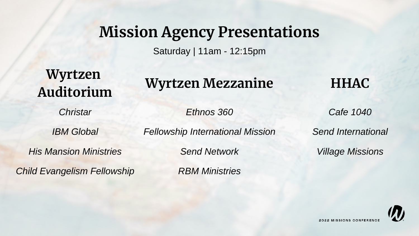Saturday | 11am - 12:15pm

## **Wyrtzen Auditorium**

## **Wyrtzen Mezzanine HHAC**

*Christar*

*IBM Global*

*His Mansion Ministries*

*Child Evangelism Fellowship*

*Cafe 1040 Send International*

*Village Missions*



**2022 MISSIONS CONFERENCE** 

*Ethnos 360*

*Fellowship International Mission*

*Send Network*

*RBM Ministries*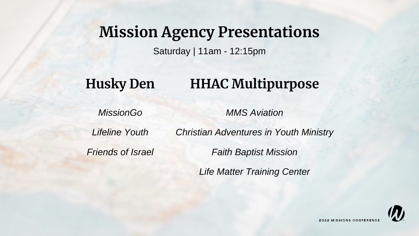Saturday | 11am - 12:15pm

## **Husky Den HHAC Multipurpose**

*MissionGo*

*Lifeline Youth*

*Friends of Israel*

*MMS Aviation*

*Christian Adventures in Youth Ministry*

*Faith Baptist Mission*

*Life Matter Training Center*

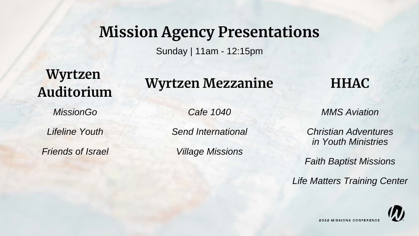Sunday | 11am - 12:15pm

## **Wyrtzen Auditorium**

**Wyrtzen Mezzanine HHAC**

*MissionGo*

*Lifeline Youth*

*Friends of Israel*

### *MMS Aviation*

### *Christian Adventures in Youth Ministries*

## *Faith Baptist Missions*

*Life Matters Training Center*



*Cafe 1040 Send International*

*Village Missions*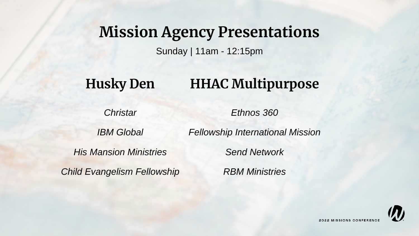Sunday | 11am - 12:15pm

## **Husky Den HHAC Multipurpose**

*Christar*

*IBM Global*

*His Mansion Ministries*

*Child Evangelism Fellowship*

*Ethnos 360*

*Fellowship International Mission*

*Send Network*

*RBM Ministries*

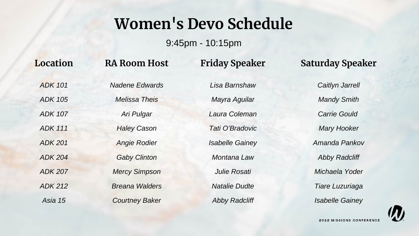# **Women's Devo Schedule**

9:45pm - 10:15pm

*ADK 101 ADK 105 ADK 107 ADK 111 ADK 201 ADK 204 ADK 207 ADK 212 Asia 15*

### **RA Room Host**

*Nadene Edwards Melissa Theis Ari Pulgar Haley Cason Angie Rodier Gaby Clinton Mercy Simpson Breana Walders Courtney Baker*

*Lisa Barnshaw Mayra Aguilar Laura Coleman Tati O'Bradovic Isabelle Gainey Montana Law Julie Rosati Natalie Dudte Abby Radcliff*

## **Location RA Room Host Friday Speaker Saturday Speaker**

*Caitlyn Jarrell Mandy Smith Carrie Gould Mary Hooker Amanda Pankov Abby Radcliff Michaela Yoder Tiare Luzuriaga Isabelle Gainey*

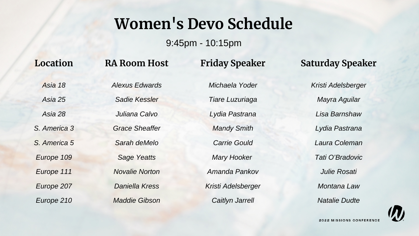# **Women's Devo Schedule**

9:45pm - 10:15pm

*Asia 18 Asia 25 Asia 28 S. America 3 S. America 5 Europe 109 Europe 111 Europe 207 Europe 210*

## **RA Room Host**

*Alexus Edwards Sadie Kessler Juliana Calvo Grace Sheaffer Sarah deMelo Sage Yeatts Novalie Norton Daniella Kress Maddie Gibson*

*Michaela Yoder Tiare Luzuriaga Lydia Pastrana Mandy Smith Carrie Gould Mary Hooker Amanda Pankov Kristi Adelsberger Caitlyn Jarrell*

## **Location RA Room Host Friday Speaker Saturday Speaker**

*Kristi Adelsberger Mayra Aguilar Lisa Barnshaw Lydia Pastrana Laura Coleman Tati O'Bradovic Julie Rosati Montana Law Natalie Dudte*

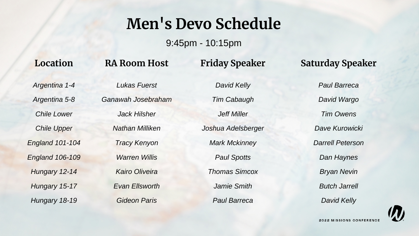# **Men's Devo Schedule**

9:45pm - 10:15pm

*Argentina 1-4 Argentina 5-8 Chile Lower Chile Upper England 101-104 England 106-109 Hungary 12-14 Hungary 15-17 Hungary 18-19*

### **RA Room Host**

*Lukas Fuerst Ganawah Josebraham Jack Hilsher Nathan Milliken Tracy Kenyon Warren Willis Kairo Oliveira Evan Ellsworth Gideon Paris*

*David Kelly Tim Cabaugh Jeff Miller Joshua Adelsberger Mark Mckinney Paul Spotts Thomas Simcox Jamie Smith Paul Barreca*

## **Location RA Room Host Friday Speaker Saturday Speaker**

*Paul Barreca David Wargo Tim Owens Dave Kurowicki Darrell Peterson Dan Haynes Bryan Nevin Butch Jarrell David Kelly*